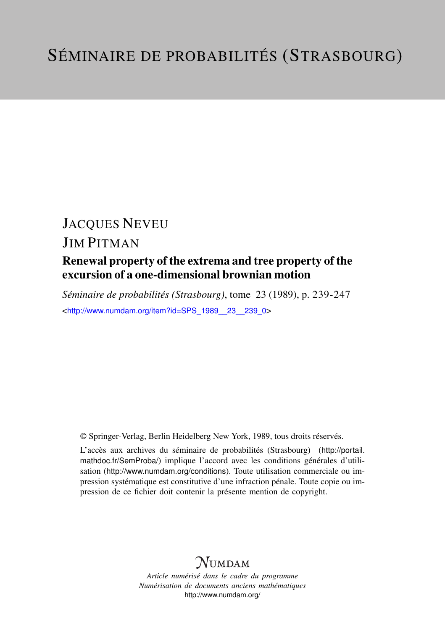# JACQUES NEVEU

## JIM PITMAN

## Renewal property of the extrema and tree property of the excursion of a one-dimensional brownian motion

*Séminaire de probabilités (Strasbourg)*, tome 23 (1989), p. 239-247 <[http://www.numdam.org/item?id=SPS\\_1989\\_\\_23\\_\\_239\\_0](http://www.numdam.org/item?id=SPS_1989__23__239_0)>

© Springer-Verlag, Berlin Heidelberg New York, 1989, tous droits réservés.

L'accès aux archives du séminaire de probabilités (Strasbourg) ([http://portail.](http://portail.mathdoc.fr/SemProba/) [mathdoc.fr/SemProba/](http://portail.mathdoc.fr/SemProba/)) implique l'accord avec les conditions générales d'utilisation (<http://www.numdam.org/conditions>). Toute utilisation commerciale ou impression systématique est constitutive d'une infraction pénale. Toute copie ou impression de ce fichier doit contenir la présente mention de copyright.

# **NUMDAM**

*Article numérisé dans le cadre du programme Numérisation de documents anciens mathématiques* <http://www.numdam.org/>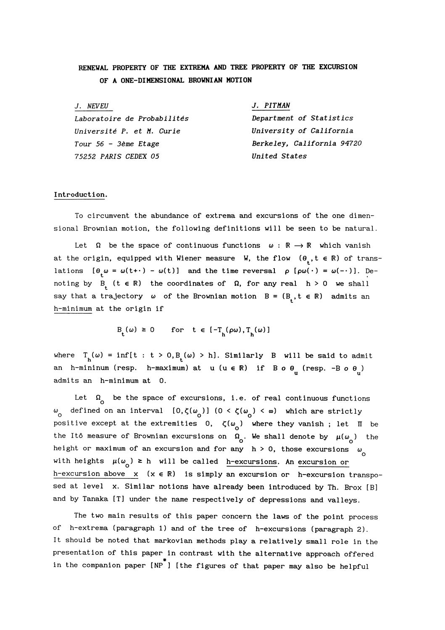## RENEWAL PROPERTY OF THE EXTREMA AND TREE PROPERTY OF THE EXCURSION OF A ONE-DIMENSIONAL BROWNIAN MOTION

| J. NEVEU                    | J. PITMAN                  |
|-----------------------------|----------------------------|
| Laboratoire de Probabilités | Department of Statistics   |
| Université P. et M. Curie   | University of California   |
| Tour 56 - 3ème Etage        | Berkeley, California 94720 |
| 75252 PARIS CEDEX 05        | United States              |

### Introduction.

To circumvent the abundance of extrema and excursions of the one dimensional Brownian motion, the following definitions will be seen to be natural.

Let  $\Omega$  be the space of continuous functions  $\omega : \mathbb{R} \to \mathbb{R}$  which vanish at the origin, equipped with Wiener measure W, the flow  $(\theta_{\cdot}, t \in \mathbb{R})$  of translations  $[\theta_{\mu} \omega = \omega(t+) - \omega(t)]$  and the time reversal  $\rho [\rho \omega(\cdot) = \omega(-\cdot)].$  Denoting by  $B_t$  ( $t \in \mathbb{R}$ ) the coordinates of  $\Omega$ , for any real  $h > 0$  we shall say that a trajectory  $\omega$  of the Brownian motion  $B = (B_t, t \in \mathbb{R})$  admits an h-minimum at the origin if

$$
\mathsf{B}_{\mathsf{t}}(\omega) \geq 0 \qquad \text{for} \quad \mathsf{t} \in [-\mathsf{T}_{\mathsf{h}}(\rho \omega), \mathsf{T}_{\mathsf{h}}(\omega)]
$$

where  $T_h(\omega) = \inf\{t : t > 0, B_t(\omega) > h\}.$  Similarly B will be said to admit an h-mininum (resp. h-maximum) at u (u  $\in \mathbb{R}$ ) if B o  $\theta_{\text{H}}$  (resp. -B o  $\theta_{\text{H}}$ ) admits an h-minimum at 0.

Let  $\Omega$  be the space of excursions, i.e. of real continuous functions ω defined on an interval  $[0, ζ(ω<sub>o</sub>)]$  (0 <  $ζ(ω<sub>o</sub>)$  < ω) which are strictly positive except at the extremities 0,  $\zeta(\omega_0)$  where they vanish; let  $\Pi$  be the Itô measure of Brownian excursions on  $\Omega_0$ . We shall denote by  $\mu(\omega_0)$  the height or maximum of an excursion and for any  $h > 0$ , those excursions  $\omega_{\alpha}$ with heights  $\mu(\omega_n) \ge h$  will be called h-excursions. An excursion or h-excursion above  $x (x \in \mathbb{R})$  is simply an excursion or h-excursion transposed at level x. Similar notions have already been introduced by Th. Brox [B] and by Tanaka [T] under the name respectively of depressions and valleys.

The two main results of this paper concern the laws of the point process of h-extrema (paragraph 1) and of the tree of h-excursions (paragraph 2). It should be noted that markovian methods play a relatively small role in the presentation of this paper in contrast with the alternative approach offered in the companion paper [NP ] [the figures of that paper may also be helpful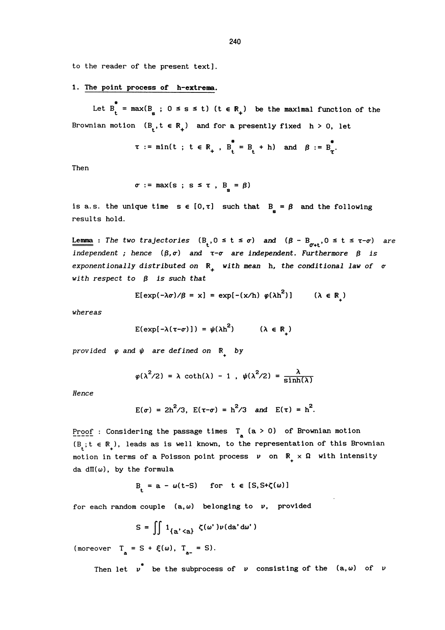to the reader of the present text].

## 1. The point process of h-extrema.

Let  $B_{t}^{*} = max(B_{\alpha} ; 0 \leq s \leq t)$  (t  $\in R_{+}$ ) be the maximal function of the Brownian motion  $(B_t, t \in \mathbb{R}_+)$  and for a presently fixed  $h > 0$ , let

$$
\tau := \min(t ; t \in \mathbb{R}_+, B_t^* = B_t + h) \text{ and } \beta := B_t^*
$$

Then

$$
\sigma := \max(s ; s \leq \tau , B = \beta)
$$

is a.s. the unique time  $s \in [0, \tau]$  such that  $B = \beta$  and the following results hold.

**Lemma** : The two trajectories  $(B_t, 0 \le t \le \sigma)$  and  $(\beta - B_{\sigma+1}, 0 \le t \le \tau-\sigma)$  are independent; hence  $(\beta, \sigma)$  and  $\tau$ - $\sigma$  are independent. Furthermore  $\beta$  is exponentionally distributed on  $\mathbb{R}_+$  with mean h, the conditional law of  $\sigma$ with respect to  $\beta$  is such that

$$
E[\exp(-\lambda \sigma)/\beta = x] = \exp[-(x/h) \varphi(\lambda h^2)] \qquad (\lambda \in \mathbb{R}_+)
$$

whereas

$$
E(\exp[-\lambda(\tau-\sigma)]) = \psi(\lambda h^2) \qquad (\lambda \in \mathbb{R}_+)
$$

provided  $\varphi$  and  $\psi$  are defined on  $\mathbb{R}$  by

$$
\varphi(\lambda^2/2) = \lambda \coth(\lambda) - 1
$$
,  $\psi(\lambda^2/2) = \frac{\lambda}{\sinh(\lambda)}$ 

Hence

$$
E(\sigma) = 2h^2/3
$$
,  $E(\tau-\sigma) = h^2/3$  and  $E(\tau) = h^2$ .

Proof : Considering the passage times  $T_a$  (a > 0) of Brownian motion  $(B_t; t \in \mathbb{R})$ , leads as is well known, to the representation of this Brownian motion in terms of a Poisson point process  $v$  on  $\mathbb{R}_+ \times \Omega$  with intensity da d $\Pi(\omega)$ , by the formula

$$
B_t = a - \omega(t-S) \quad \text{for} \quad t \in [S, S + \zeta(\omega)]
$$

for each random couple  $(a, \omega)$  belonging to v, provided

$$
S = \iint 1_{\{a' < a\}} \zeta(\omega') \nu(da'd\omega')
$$

(moreover  $T_a = S + \xi(\omega)$ ,  $T_{a^-} = S$ ).

Then let  $v^*$  be the subprocess of v consisting of the  $(a,\omega)$  of v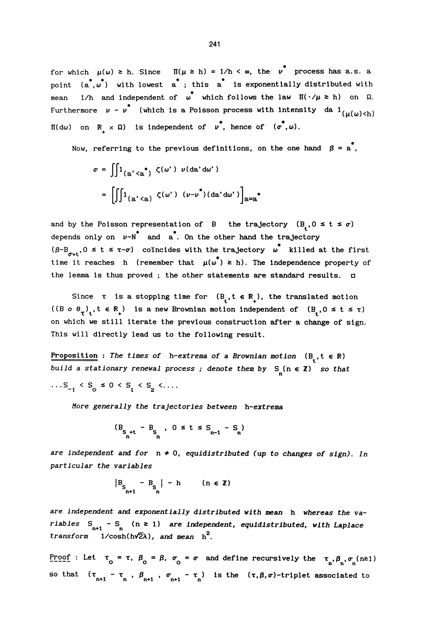for which  $\mu(\omega) \ge h$ . Since  $\Pi(\mu \ge h) = 1/h < \infty$ , the  $\nu^*$ 241<br>  $\mu(\omega) \ge h$ . Since  $\Pi(\mu \ge h) = 1/h < \infty$ , the  $\nu^*$  proce<br>  $*, \omega^*$ , with lowest a<sup>\*</sup>; this a<sup>\*</sup> is exponentially di h. Since  $\Pi(\mu \ge h) = 1/h < \infty$ , the  $\nu$  process has a.s. a point  $(a^*, \omega^*)$  with lowest  $a^*$ ; this  $a^*$  is exponentially distributed with mean  $1/h$  and independent of  $\omega^*$  which follows the law  $\Pi(\cdot/\mu \ge h)$  on  $\Omega$ . 1/h and independent of  $\omega^*$  which follows the law  $\Pi(\cdot/\mu \ge h)$  on  $\Omega$ . Furthermore  $v$  -  $v^{*}$  (which is a Poisson process with intensity da  $1_{(\mu(\omega) < h)}$  $\Pi(d\omega)$  on  $\mathbb{R} \times \Omega$ ) is independent of  $v^*$ , hence of  $(\sigma^*, \omega)$ .

Now, referring to the previous definitions, on the one hand  $\ \beta = {\tt a}^*$ ,

$$
\sigma = \iint 1_{(a' < a^*)} \zeta(\omega') \nu(da'd\omega')
$$
\n
$$
= \left[ \iint 1_{(a' < a)} \zeta(\omega') \left( \nu - \nu^*)(da'd\omega' \right) \right]_{a=a^*}
$$

and by the Poisson representation of B the trajectory  $(B, 0 \le t \le \sigma)$ depends only on  $v-N^*$  and  $a^*$ . On the other hand the trajectory  $(\beta - B_{\alpha,t}, 0 \le t \le \tau - \sigma)$  coincides with the trajectory  $\omega^*$  killed at the first time it reaches h (remember that  $\mu(\omega^*) \ge h$ ). The independence property of the lemma is thus proved ; the other statements are standard results.  $\square$ 

Since  $\tau$  is a stopping time for  $(B_t, t \in \mathbb{R})$ , the translated motion ((B o  $\theta_{\tau}$ ),  $t \in \mathbb{R}$ ) is a new Brownian motion independent of  $(B_0, 0 \le t \le \tau)$ on which we still iterate the previous construction after a change of sign. This will directly lead us to the following result.

Proposition : The times of h-extrema of a Brownian motion  $(B_t, t \in \mathbb{R})$ build a stationary renewal process; denote them by  $S_n(n \in \mathbb{Z})$  so that ...  $S_{-1} < S_0 \le 0 < S_1 < S_2 < \dots$ 

More generally the trajectories between h-extrema

$$
(B_{\underset{n}{S_{n}+t}} - B_{\underset{n}{S_{n}}}, \ 0 \leq t \leq S_{n-1} - S_{n})
$$

are independent and for  $n \neq 0$ , equidistributed (up to changes of sign). In particular the variables

$$
\begin{vmatrix} B_{S} & -B_{S} & | & -h & \text{in} \ \mathbb{E}_{n+1} & \mathbb{E}_{n} & \text{in} \end{vmatrix}
$$

are independent and exponentially distributed with mean h whereas the variables  $S_{n+1} - S_{n}$  ( $n \ge 1$ ) are independent, equidistributed, with Laplace transform  $1/\cosh(h\sqrt{2}\lambda)$ , and mean  $h^2$ .

Proof : Let  $\tau_0 = \tau$ ,  $\beta_0 = \beta$ ,  $\sigma_0 = \sigma$  and define recursively the  $\tau_n, \beta_n, \sigma_n(n \ge 1)$ so that  $(\tau_{n+1} - \tau_n, \beta_{n+1}, \sigma_{n+1} - \tau_n)$  is the  $(\tau, \beta, \sigma)$ -triplet associated to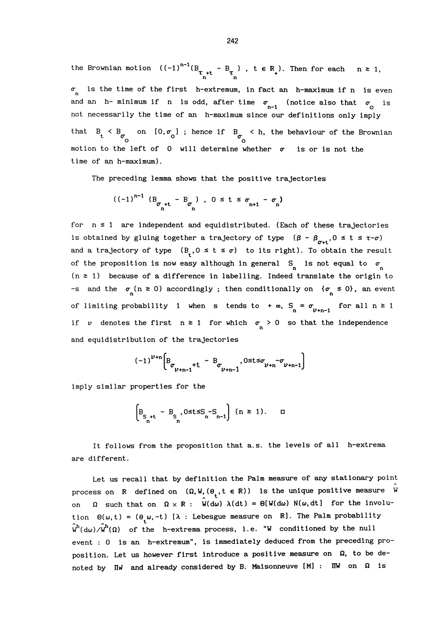the Brownian motion  $((-1)^{n-1} (B_{\tau_{n}+t} - B_{\tau_{n} \atop n}), t \in \mathbb{R} )$ . Then for each  $n \geq 1$ ,  $\sigma$  is the time of the first h-extremum, in fact an h-maximum if n is even and an h-minimum if n is odd, after time  $\sigma_{n-1}$  (notice also that  $\sigma_{\alpha}$  is not necessarily the time of an h-maximum since our definitions only imply that  $B_t < B_{\sigma}$  on  $[0, \sigma_0]$ ; hence if  $B_{\sigma} < h$ , the behaviour of the Brownian motion to the left of  $0$  will determine whether  $\sigma$  is or is not the time of an h-maximum).

The preceding lemma shows that the positive trajectories

$$
((-1)^{n-1} (B_{\sigma_{n}+t} - B_{\sigma_{n} \atop n}) , 0 \leq t \leq \sigma_{n+1} - \sigma_{n})
$$

for  $n \leq 1$  are independent and equidistributed. (Each of these trajectories is obtained by gluing together a trajectory of type  $(\beta - \beta_{\sigma^{*+}}, 0 \leq t \leq \tau-\sigma)$ and a trajectory of type  $(B_1, 0 \le t \le \sigma)$  to its right). To obtain the result of the proposition is now easy although in general  $S_n$  is not equal to  $\sigma_n$  $(n \geq 1)$  because of a difference in labelling. Indeed translate the origin to -s and the  $\sigma$  (n  $\ge$  0) accordingly; then conditionally on  $\{\sigma \le 0\}$ , an event of limiting probability 1 when s tends to  $+\infty$ ,  $S_n = \sigma_{\nu+n-1}$  for all  $n \ge 1$ if v denotes the first  $n \ge 1$  for which  $\sigma_n > 0$  so that the independence and equidistribution of the trajectories

$$
(-1)^{\nu+n} \Big[ B_{\sigma_{\nu+n-1}+t} - B_{\sigma_{\nu+n-1}+t} - \mathfrak{B}_{\nu+n-1} \Big]
$$

imply similar properties for the

$$
\left[\mathbf{B}_{\mathbf{S}_{n}+\mathbf{t}}-\mathbf{B}_{\mathbf{S}_{n}},0\leq\mathbf{t}\leq\mathbf{S}_{n}-\mathbf{S}_{n-1}\right](n\geq 1).\quad\Box
$$

It follows from the proposition that a.s. the levels of all h-extrema are different.

Let us recall that by definition the Palm measure of any stationary point process on R defined on  $(\Omega, W, (\theta_1, t \in \mathbb{R}))$  is the unique positive measure W on  $\Omega$  such that on  $\Omega \times \mathbb{R}$ :  $W(d\omega) \lambda(dt) = \Theta[W(d\omega) N(\omega,dt]$  for the involution  $\Theta(\omega,t) = (\theta_{t}\omega,-t)$  [ $\lambda$  : Lebesgue measure on R]. The Palm probability  $\hat{w}^h(\text{d}\omega)/\hat{w}^h(\Omega)$  of the h-extrema process, i.e. "We conditioned by the null event : 0 is an h-extremum", is immediately deduced from the preceding proposition. Let us however first introduce a positive measure on  $\Omega$ , to be denoted by  $\text{IIw}$  and already considered by B. Maisonneuve [M] :  $\text{IIIw}$  on  $\Omega$  is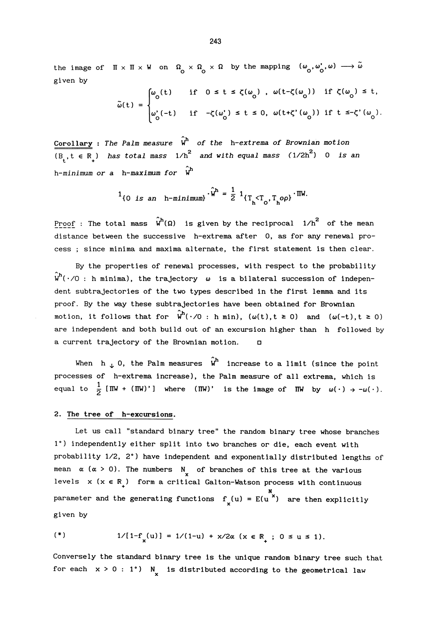the image of  $\pi \times \pi \times W$  on  $\Omega_{\text{o}} \times \Omega_{\text{o}} \times \Omega$  by the mapping  $(\omega_{\text{o}}, \omega_{\text{o}}', \omega) \longrightarrow \omega$ given by

$$
\begin{aligned}\n&\times \Pi \times W \text{ on } \Omega_0 \times \Omega_0 \times \Omega \text{ by the mapping } (\omega_0, \omega_0', \omega) \longrightarrow \tilde{\omega} \\
&\tilde{\omega}(t) = \begin{cases}\n\omega_0(t) & \text{if } 0 \le t \le \zeta(\omega_0), \omega(t-\zeta(\omega_0)) & \text{if } \zeta(\omega_0) \le t, \\
\omega_0'(-t) & \text{if } -\zeta(\omega_0') \le t \le 0, \omega(t+\zeta'(\omega_0)) & \text{if } t \le -\zeta'(\omega_0).\n\end{cases}\n\end{aligned}
$$

Corollary : The Palm measure  $\hat{w}^h$  of the h-extrema of Brownian motion  $\overline{(B_t, t \in \mathbb{R}_)}$  has total mass  $1/h^2$  and with equal mass  $(1/2h^2)$  0 is an h-minimum or a h-maximum for  $\hat{w}^h$ 

$$
1_{\{0 \text{ is an } h-minimum\}} \cdot \hat{w}^h = \frac{1}{2} 1_{\{T_h < T_0, T_h \circ \rho\}} \cdot \text{IW}.
$$

Proof : The total mass  $\hat{w}^h(\Omega)$  is given by the reciprocal 1/h<sup>2</sup> of the mean distance between the successive h-extrema after 0, as for any renewal process ; since minima and maxima alternate, the first statement is then clear.

 $\hat{\mathsf{w}}^{\mathsf{h}}(\,\cdot\,/\!\!\mathrm{O}$  : h minima), the trajectory  $\,\omega\,$  is a bilateral succession of indepen-By the properties of renewal processes, with respect to the probability dent subtrajectories of the two types described in the first lemma and its proof. By the way these subtrajectories have been obtained for Brownian motion, it follows that for  $\hat{w}^{h}(\cdot/0 : h \text{ min})$ ,  $(\omega(t), t \ge 0)$  and  $(\omega(-t), t \ge 0)$ are independent and both build out of an excursion higher than h followed by a current trajectory of the Brownian motion.  $\Box$ 

When h 0, the Palm measures  $\hat{w}^h$  increase to a limit (since the point processes of h-extrema increase), the Palm measure of all extrema, which is equal to  $\frac{1}{2}$  [IW + (IW)'] where (IW)' is the image of IW by  $\omega(\cdot) \rightarrow -\omega(\cdot)$ .

#### 2. The tree of h-excursions.

Let us call "standard binary tree" the random binary tree whose branches 1°) independently either split into two branches or die, each event with probability 1/2, 2°) have independent and exponentially distributed lengths of mean  $\alpha$  ( $\alpha$  > 0). The numbers N of branches of this tree at the various levels  $x (x \in \mathbb{R})$  form a critical Galton-Watson process with continuous parameter and the generating functions  $f_x(u) = E(u^x)$  are then explicitly given by

$$
(*)
$$
 1/[1-f<sub>x</sub>(u)] = 1/(1-u) + x/2α (x ∈ ℝ<sub>+</sub> ; 0 ≤ u ≤ 1).

Conversely the standard binary tree is the unique random binary tree such that for each  $x > 0 : 1^{\circ}$ ) N<sub>u</sub> is distributed according to the geometrical law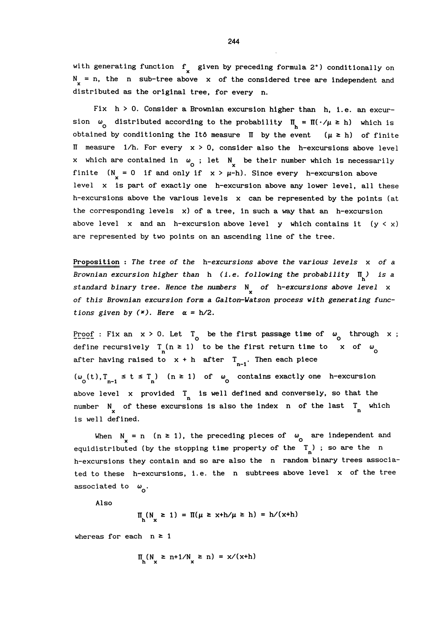with generating function  $f_{x}$  given by preceding formula 2°) conditionally on  $N_{u}$  = n, the n sub-tree above x of the considered tree are independent and distributed as the original tree, for every n.

Fix  $h > 0$ . Consider a Brownian excursion higher than h, i.e. an excursion  $\omega_0$  distributed according to the probability  $\Pi_h = \Pi(\cdot/\mu \ge h)$  which is obtained by conditioning the Itô measure  $\Pi$  by the event  $(\mu \ge h)$  of finite II measure  $1/h$ . For every  $x > 0$ , consider also the h-excursions above level x which are contained in  $\omega_{0}$ ; let N<sub>x</sub> be their number which is necessarily finite  $(N_ = 0$  if and only if  $x > \mu - h$ ). Since every h-excursion above level x is part of exactly one h-excursion above any lower level, all these h-excursions above the various levels  $x$  can be represented by the points (at the corresponding levels x) of a tree, in such a way that an h-excursion above level x and an h-excursion above level y which contains it  $(y < x)$ are represented by two points on an ascending line of the tree.

Proposition : The tree of the  $h$ -excursions above the various levels  $x$  of a Brownian excursion higher than h (i.e. following the probability  $\Pi_{\mathbf{h}}$ ) is a standard binary tree. Hence the numbers  $N$  of h-excursions above level  $x$ of this Brownian excursion form a Galton-Watson process with generating functions given by  $(*)$ . Here  $\alpha = h/2$ .

Proof : Fix an  $x > 0$ . Let  $T_{0}$  be the first passage time of  $\omega_{0}$  through x; define recursively  $T_n$ (n  $\geq$  1) to be the first return time to x of  $\omega_0$ after having raised to  $x + h$  after  $T_{n-1}$ . Then each piece

 $(\omega_0(t), T_{n-1} \leq t \leq T_n)$  (n  $\geq 1$ ) of  $\omega_0$  contains exactly one h-excursion above level x provided  $T$  is well defined and conversely, so that the number N of these excursions is also the index n of the last  $T_n$  which is well defined.

When  $N = n$  ( $n \ge 1$ ), the preceding pieces of  $\omega_0$  are independent and equidistributed (by the stopping time property of the  $T_n$ ); so are the n h-excursions they contain and so are also the n random binary trees associated to these h-excursions, i.e. the n subtrees above level x of the tree associated to  $\omega_{\Omega}$ .

Also

$$
\Pi_{h}(N_x \ge 1) = \Pi(\mu \ge x+h/\mu \ge h) = h/(x+h)
$$

whereas for each  $n \geq 1$ 

$$
\Pi_{\mathbf{A}}(N_{\mathbf{U}} \geq n+1/N_{\mathbf{U}} \geq n) = x/(x+h)
$$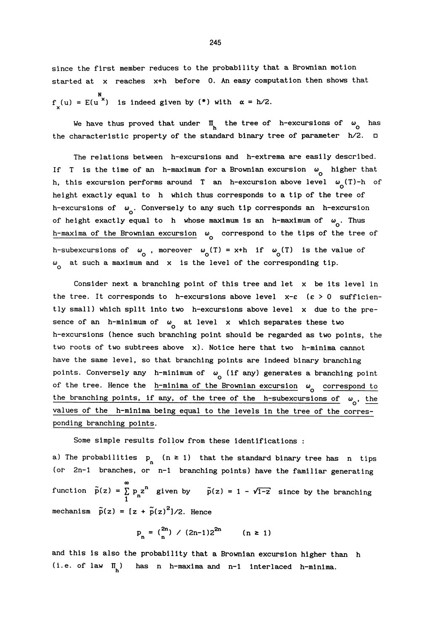since the first member reduces to the probability that a Brownian motion started at x reaches x+h before 0. An easy computation then shows that  $f_x(u) = E(u^x)$  is indeed given by (\*) with  $\alpha = h/2$ .

We have thus proved that under  $\Pi_k$  the tree of h-excursions of  $\omega_{\Omega}$  has the characteristic property of the standard binary tree of parameter  $h/2$ .  $\square$ 

The relations between h-excursions and h-extrema are easily described. If T is the time of an h-maximum for a Brownian excursion  $\omega_{0}$  higher that h, this excursion performs around T an h-excursion above level  $\omega_{\alpha}(T)-h$  of height exactly equal to h which thus corresponds to a tip of the tree of h-excursions of  $\omega_{\alpha}$ . Conversely to any such tip corresponds an h-excursion of height exactly equal to h whose maximum is an h-maximum of  $\omega_{\alpha}$ . Thus h-maxima of the Brownian excursion  $\omega$  correspond to the tips of the tree of h-subexcursions of  $\omega_0$ , moreover  $\omega_0(T) = x+h$  if  $\omega_0(T)$  is the value of  $\omega_{\rho}$  at such a maximum and x is the level of the corresponding tip.

Consider next a branching point of this tree and let x be its level in the tree. It corresponds to h-excursions above level  $x-c$  ( $c > 0$  sufficiently small) which split into two h-excursions above level x due to the presence of an h-minimum of  $\omega_{0}$  at level x which separates these two h-excursions (hence such branching point should be regarded as two points, the two roots of two subtrees above x). Notice here that two h-minima cannot have the same level, so that branching points are indeed binary branching points. Conversely any h-minimum of  $\omega_{0}$  (if any) generates a branching point of the tree. Hence the  $h$ -minima of the Brownian excursion  $\omega_{\rho}$  correspond to the branching points, if any, of the tree of the h-subexcursions of  $\omega_{0}$ , the values of the h-minima being equal to the levels in the tree of the corresponding branching points.

Some simple results follow from these identifications :

a) The probabilities  $p_n$  (n  $\geq$  1) that the standard binary tree has n tips (or 2n-l branches, or n-1 branching points) have the familiar generating m function  $\tilde{p}(z) = \sum_{n=1}^{\infty} p_n z^n$  given by  $\tilde{p}(z) = 1 - \sqrt{1-z}$  since by the branching mechanism  $\tilde{p}(z) = [z + \tilde{p}(z)^{2}]/2$ . Hence

$$
p_n = \binom{2n}{n} \ / \ (2n-1)2^{2n} \qquad (n \ge 1)
$$

and this is also the probability that a Brownian excursion higher than h (i.e. of law  $\Pi_{\mu}$ ) has n h-maxima and n-1 interlaced h-minima.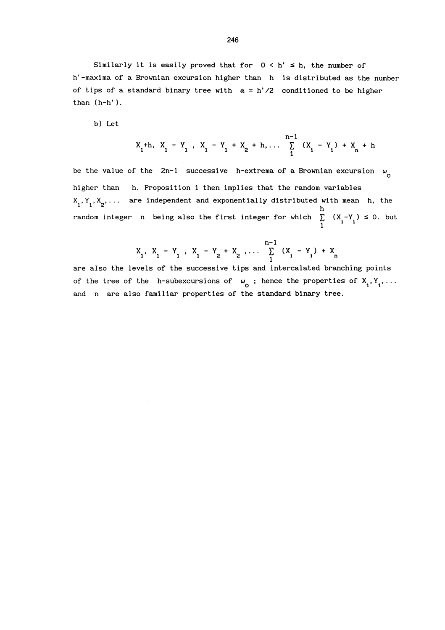Similarly it is easily proved that for  $0 < h' \le h$ , the number of h'-maxima of a Brownian excursion higher than h is distributed as the number of tips of a standard binary tree with  $\alpha = h'/2$  conditioned to be higher than (h-h').

b) Let

$$
X_1
$$
 +h,  $X_1 - Y_1$ ,  $X_1 - Y_1 + X_2 + h$ ,...  $\sum_{1}^{n-1} (X_1 - Y_1) + X_n + h$ 

be the value of the 2n-1 successive h-extrema of a Brownian excursion  $\omega_{\alpha}$ higher than h. Proposition 1 then implies that the random variables  $X_1, Y_1, X_2, \ldots$  are independent and exponentially distributed with mean h, the random integer n being also the first integer for which  $\sum_{1}^{h} (X_i - Y_i) \le 0$ . but

$$
X_1, X_1 - Y_1, X_1 - Y_2 + X_2, \ldots \sum_{1}^{n-1} (X_i - Y_i) + X_n
$$

are also the levels of the successive tips and intercalated branching points of the tree of the h-subexcursions of  $\omega_{0}$ ; hence the properties of  $X_1, Y_1, \ldots$ and n are also familiar properties of the standard binary tree.